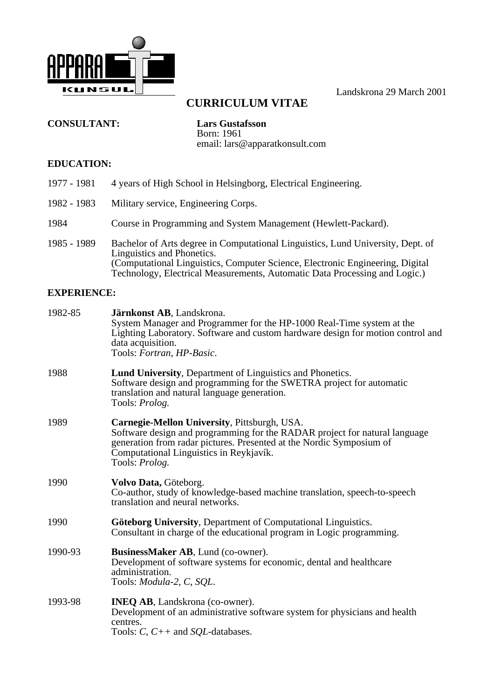

Landskrona 29 March 2001

# **CURRICULUM VITAE**

**CONSULTANT: Lars Gustafsson**

Born: 1961 email: lars@apparatkonsult.com

## **EDUCATION:**

- 1977 1981 4 years of High School in Helsingborg, Electrical Engineering.
- 1982 1983 Military service, Engineering Corps.
- 1984 Course in Programming and System Management (Hewlett-Packard).
- 1985 1989 Bachelor of Arts degree in Computational Linguistics, Lund University, Dept. of Linguistics and Phonetics. (Computational Linguistics, Computer Science, Electronic Engineering, Digital Technology, Electrical Measurements, Automatic Data Processing and Logic.)

## **EXPERIENCE:**

| 1982-85 | Järnkonst AB, Landskrona.<br>System Manager and Programmer for the HP-1000 Real-Time system at the<br>Lighting Laboratory. Software and custom hardware design for motion control and<br>data acquisition.<br>Tools: Fortran, HP-Basic.                         |
|---------|-----------------------------------------------------------------------------------------------------------------------------------------------------------------------------------------------------------------------------------------------------------------|
| 1988    | <b>Lund University, Department of Linguistics and Phonetics.</b><br>Software design and programming for the SWETRA project for automatic<br>translation and natural language generation.<br>Tools: <i>Prolog.</i>                                               |
| 1989    | Carnegie-Mellon University, Pittsburgh, USA.<br>Software design and programming for the RADAR project for natural language<br>generation from radar pictures. Presented at the Nordic Symposium of<br>Computational Linguistics in Reykjavík.<br>Tools: Prolog. |
| 1990    | Volvo Data, Göteborg.<br>Co-author, study of knowledge-based machine translation, speech-to-speech<br>translation and neural networks.                                                                                                                          |
| 1990    | <b>Göteborg University, Department of Computational Linguistics.</b><br>Consultant in charge of the educational program in Logic programming.                                                                                                                   |
| 1990-93 | BusinessMaker AB, Lund (co-owner).<br>Development of software systems for economic, dental and healthcare<br>administration.<br>Tools: <i>Modula-2</i> , C, SQL.                                                                                                |
| 1993-98 | INEQ AB, Landskrona (co-owner).<br>Development of an administrative software system for physicians and health<br>centres.<br>Tools: $C$ , $C++$ and <i>SQL</i> -databases.                                                                                      |